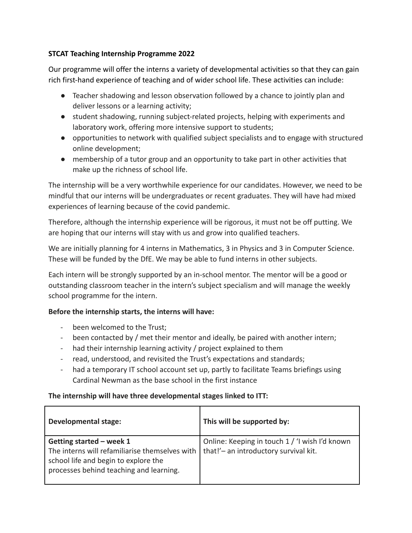## **STCAT Teaching Internship Programme 2022**

Our programme will offer the interns a variety of developmental activities so that they can gain rich first-hand experience of teaching and of wider school life. These activities can include:

- Teacher shadowing and lesson observation followed by a chance to jointly plan and deliver lessons or a learning activity;
- student shadowing, running subject-related projects, helping with experiments and laboratory work, offering more intensive support to students;
- opportunities to network with qualified subject specialists and to engage with structured online development;
- membership of a tutor group and an opportunity to take part in other activities that make up the richness of school life.

The internship will be a very worthwhile experience for our candidates. However, we need to be mindful that our interns will be undergraduates or recent graduates. They will have had mixed experiences of learning because of the covid pandemic.

Therefore, although the internship experience will be rigorous, it must not be off putting. We are hoping that our interns will stay with us and grow into qualified teachers.

We are initially planning for 4 interns in Mathematics, 3 in Physics and 3 in Computer Science. These will be funded by the DfE. We may be able to fund interns in other subjects.

Each intern will be strongly supported by an in-school mentor. The mentor will be a good or outstanding classroom teacher in the intern's subject specialism and will manage the weekly school programme for the intern.

## **Before the internship starts, the interns will have:**

- been welcomed to the Trust;
- been contacted by / met their mentor and ideally, be paired with another intern;
- had their internship learning activity / project explained to them
- read, understood, and revisited the Trust's expectations and standards;
- had a temporary IT school account set up, partly to facilitate Teams briefings using Cardinal Newman as the base school in the first instance

## **The internship will have three developmental stages linked to ITT:**

| <b>Developmental stage:</b>                                                                                                                                   | This will be supported by:                                                              |
|---------------------------------------------------------------------------------------------------------------------------------------------------------------|-----------------------------------------------------------------------------------------|
| Getting started - week 1<br>The interns will refamiliarise themselves with<br>school life and begin to explore the<br>processes behind teaching and learning. | Online: Keeping in touch 1 / 'I wish I'd known<br>that!'- an introductory survival kit. |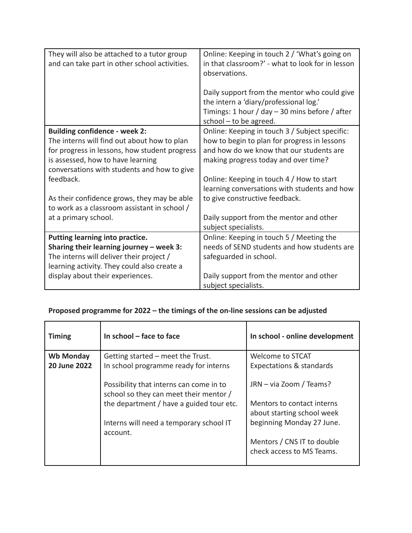| They will also be attached to a tutor group   | Online: Keeping in touch 2 / 'What's going on    |
|-----------------------------------------------|--------------------------------------------------|
| and can take part in other school activities. | in that classroom?' - what to look for in lesson |
|                                               | observations.                                    |
|                                               |                                                  |
|                                               | Daily support from the mentor who could give     |
|                                               | the intern a 'diary/professional log.'           |
|                                               | Timings: 1 hour / day $-$ 30 mins before / after |
|                                               | school $-$ to be agreed.                         |
| <b>Building confidence - week 2:</b>          | Online: Keeping in touch 3 / Subject specific:   |
| The interns will find out about how to plan   | how to begin to plan for progress in lessons     |
| for progress in lessons, how student progress | and how do we know that our students are         |
| is assessed, how to have learning             | making progress today and over time?             |
| conversations with students and how to give   |                                                  |
| feedback.                                     | Online: Keeping in touch 4 / How to start        |
|                                               | learning conversations with students and how     |
| As their confidence grows, they may be able   | to give constructive feedback.                   |
| to work as a classroom assistant in school /  |                                                  |
| at a primary school.                          | Daily support from the mentor and other          |
|                                               | subject specialists.                             |
| Putting learning into practice.               | Online: Keeping in touch 5 / Meeting the         |
| Sharing their learning journey $-$ week 3:    | needs of SEND students and how students are      |
| The interns will deliver their project /      | safeguarded in school.                           |
| learning activity. They could also create a   |                                                  |
| display about their experiences.              | Daily support from the mentor and other          |
|                                               | subject specialists.                             |

## **Proposed programme for 2022 – the timings of the on-line sessions can be adjusted**

| <b>Timing</b>       | In school - face to face                                                                                                      | In school - online development                          |
|---------------------|-------------------------------------------------------------------------------------------------------------------------------|---------------------------------------------------------|
| <b>Wb Monday</b>    | Getting started – meet the Trust.                                                                                             | Welcome to STCAT                                        |
| <b>20 June 2022</b> | In school programme ready for interns                                                                                         | Expectations & standards                                |
|                     | Possibility that interns can come in to<br>school so they can meet their mentor /<br>the department / have a guided tour etc. | JRN - via Zoom / Teams?<br>Mentors to contact interns   |
|                     |                                                                                                                               | about starting school week                              |
|                     | Interns will need a temporary school IT<br>account.                                                                           | beginning Monday 27 June.                               |
|                     |                                                                                                                               | Mentors / CNS IT to double<br>check access to MS Teams. |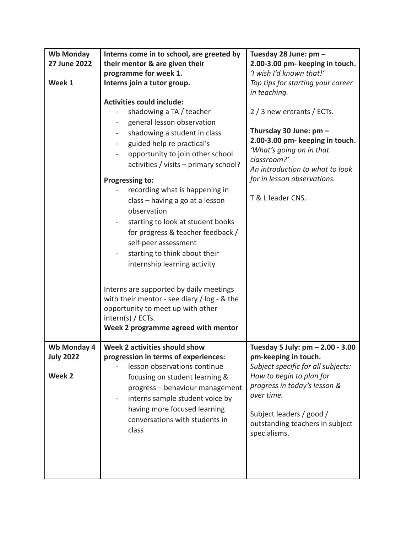| <b>Wb Monday</b>    | Interns come in to school, are greeted by      | Tuesday 28 June: pm -                          |
|---------------------|------------------------------------------------|------------------------------------------------|
| <b>27 June 2022</b> | their mentor & are given their                 | 2.00-3.00 pm- keeping in touch.                |
|                     | programme for week 1.                          | 'I wish I'd known that!'                       |
| Week 1              | Interns join a tutor group.                    | Top tips for starting your career              |
|                     |                                                | in teaching.                                   |
|                     | <b>Activities could include:</b>               |                                                |
|                     | shadowing a TA / teacher                       | 2 / 3 new entrants / ECTs.                     |
|                     | general lesson observation                     |                                                |
|                     | shadowing a student in class<br>$\blacksquare$ | Thursday 30 June: pm -                         |
|                     | guided help re practical's                     | 2.00-3.00 pm- keeping in touch.                |
|                     | opportunity to join other school               | 'What's going on in that                       |
|                     | activities / visits - primary school?          | classroom?'<br>An introduction to what to look |
|                     |                                                | for in lesson observations.                    |
|                     | <b>Progressing to:</b>                         |                                                |
|                     | recording what is happening in                 | T & L leader CNS.                              |
|                     | class - having a go at a lesson                |                                                |
|                     | observation                                    |                                                |
|                     | starting to look at student books              |                                                |
|                     | for progress & teacher feedback /              |                                                |
|                     | self-peer assessment                           |                                                |
|                     | starting to think about their                  |                                                |
|                     | internship learning activity                   |                                                |
|                     |                                                |                                                |
|                     | Interns are supported by daily meetings        |                                                |
|                     | with their mentor - see diary / $log - 8$ the  |                                                |
|                     | opportunity to meet up with other              |                                                |
|                     | $intern(s)$ / ECTs.                            |                                                |
|                     | Week 2 programme agreed with mentor            |                                                |
|                     |                                                |                                                |
| Wb Monday 4         | Week 2 activities should show                  | Tuesday 5 July: pm - 2.00 - 3.00               |
| <b>July 2022</b>    | progression in terms of experiences:           | pm-keeping in touch.                           |
|                     | lesson observations continue                   | Subject specific for all subjects:             |
| Week 2              | focusing on student learning &                 | How to begin to plan for                       |
|                     | progress - behaviour management                | progress in today's lesson &                   |
|                     | interns sample student voice by                | over time.                                     |
|                     | having more focused learning                   |                                                |
|                     | conversations with students in                 | Subject leaders / good /                       |
|                     | class                                          | outstanding teachers in subject                |
|                     |                                                | specialisms.                                   |
|                     |                                                |                                                |
|                     |                                                |                                                |
|                     |                                                |                                                |
|                     |                                                |                                                |